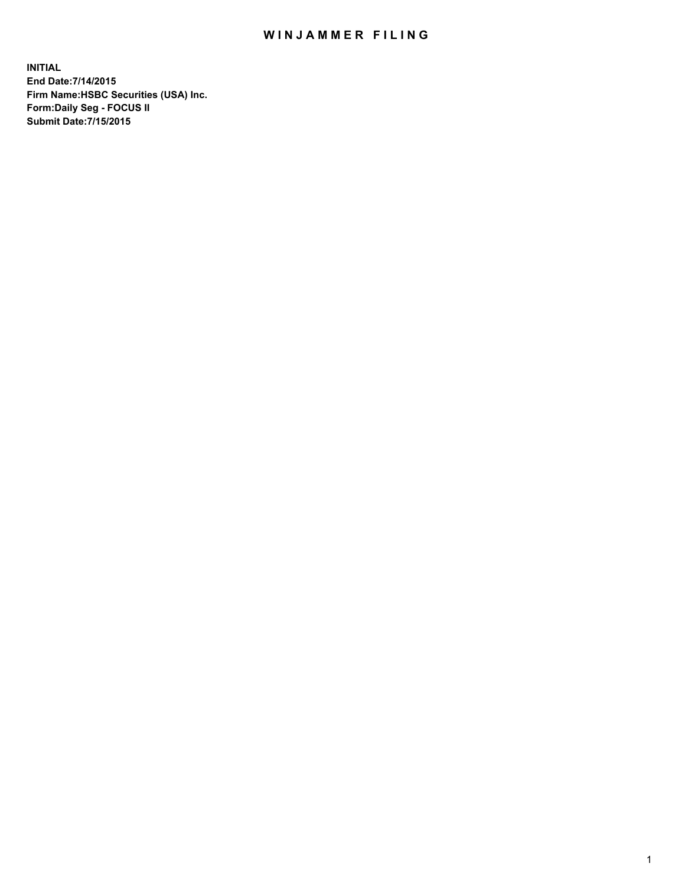## WIN JAMMER FILING

**INITIAL End Date:7/14/2015 Firm Name:HSBC Securities (USA) Inc. Form:Daily Seg - FOCUS II Submit Date:7/15/2015**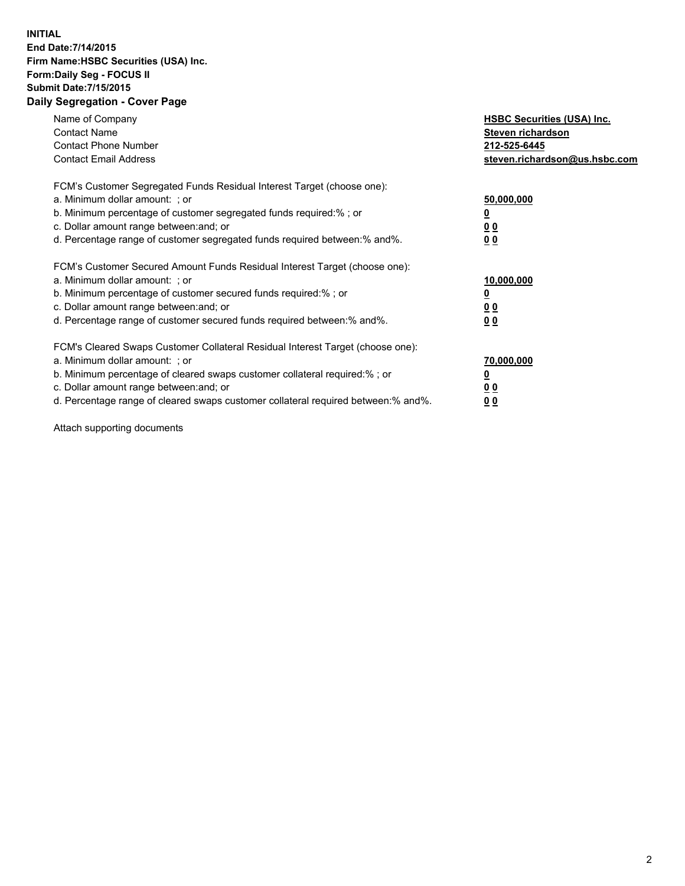## **INITIAL End Date:7/14/2015 Firm Name:HSBC Securities (USA) Inc. Form:Daily Seg - FOCUS II Submit Date:7/15/2015 Daily Segregation - Cover Page**

| Name of Company<br><b>Contact Name</b><br><b>Contact Phone Number</b><br><b>Contact Email Address</b>                                                                                                                                                                                                                          | <b>HSBC Securities (USA) Inc.</b><br>Steven richardson<br>212-525-6445<br>steven.richardson@us.hsbc.com |
|--------------------------------------------------------------------------------------------------------------------------------------------------------------------------------------------------------------------------------------------------------------------------------------------------------------------------------|---------------------------------------------------------------------------------------------------------|
| FCM's Customer Segregated Funds Residual Interest Target (choose one):<br>a. Minimum dollar amount: ; or<br>b. Minimum percentage of customer segregated funds required:%; or<br>c. Dollar amount range between: and; or<br>d. Percentage range of customer segregated funds required between:% and%.                          | 50,000,000<br>0 <sub>0</sub><br>00                                                                      |
| FCM's Customer Secured Amount Funds Residual Interest Target (choose one):<br>a. Minimum dollar amount: ; or<br>b. Minimum percentage of customer secured funds required:%; or<br>c. Dollar amount range between: and; or<br>d. Percentage range of customer secured funds required between:% and%.                            | 10,000,000<br><u>0</u><br>0 <sub>0</sub><br>00                                                          |
| FCM's Cleared Swaps Customer Collateral Residual Interest Target (choose one):<br>a. Minimum dollar amount: ; or<br>b. Minimum percentage of cleared swaps customer collateral required:% ; or<br>c. Dollar amount range between: and; or<br>d. Percentage range of cleared swaps customer collateral required between:% and%. | 70,000,000<br><u>0</u><br>00<br>0 <sub>0</sub>                                                          |

Attach supporting documents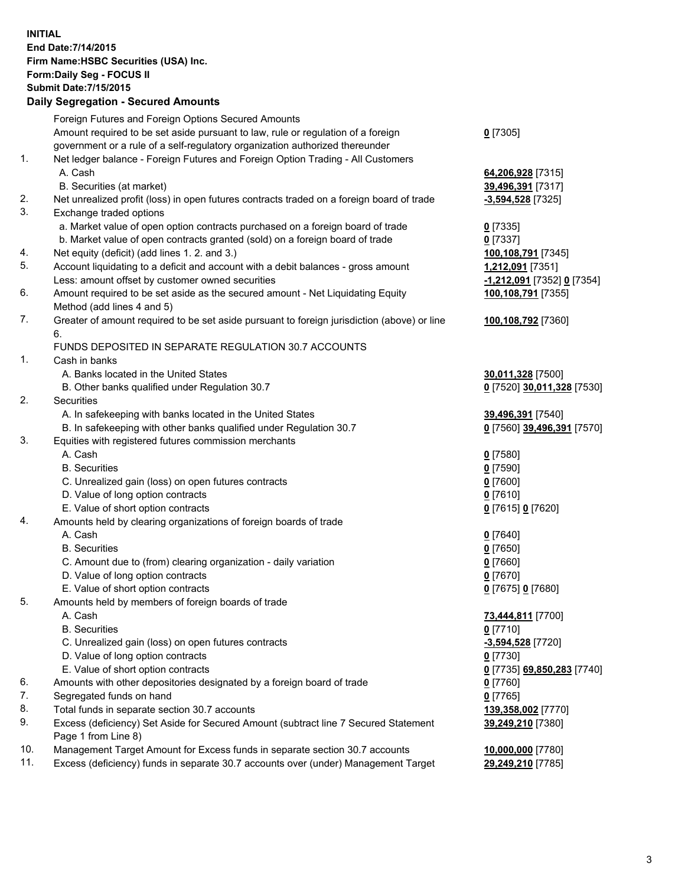**INITIAL End Date:7/14/2015 Firm Name:HSBC Securities (USA) Inc. Form:Daily Seg - FOCUS II Submit Date:7/15/2015 Daily Segregation - Secured Amounts**

Foreign Futures and Foreign Options Secured Amounts Amount required to be set aside pursuant to law, rule or regulation of a foreign government or a rule of a self-regulatory organization authorized thereunder **0** [7305] 1. Net ledger balance - Foreign Futures and Foreign Option Trading - All Customers A. Cash **64,206,928** [7315] B. Securities (at market) **39,496,391** [7317] 2. Net unrealized profit (loss) in open futures contracts traded on a foreign board of trade **-3,594,528** [7325] 3. Exchange traded options a. Market value of open option contracts purchased on a foreign board of trade **0** [7335] b. Market value of open contracts granted (sold) on a foreign board of trade **0** [7337] 4. Net equity (deficit) (add lines 1. 2. and 3.) **100,108,791** [7345] 5. Account liquidating to a deficit and account with a debit balances - gross amount **1,212,091** [7351] Less: amount offset by customer owned securities **-1,212,091** [7352] **0** [7354] 6. Amount required to be set aside as the secured amount - Net Liquidating Equity Method (add lines 4 and 5) **100,108,791** [7355] 7. Greater of amount required to be set aside pursuant to foreign jurisdiction (above) or line 6. **100,108,792** [7360] FUNDS DEPOSITED IN SEPARATE REGULATION 30.7 ACCOUNTS 1. Cash in banks A. Banks located in the United States **30,011,328** [7500] B. Other banks qualified under Regulation 30.7 **0** [7520] **30,011,328** [7530] 2. Securities A. In safekeeping with banks located in the United States **39,496,391** [7540] B. In safekeeping with other banks qualified under Regulation 30.7 **0** [7560] **39,496,391** [7570] 3. Equities with registered futures commission merchants A. Cash **0** [7580] B. Securities **0** [7590] C. Unrealized gain (loss) on open futures contracts **0** [7600] D. Value of long option contracts **0** [7610] E. Value of short option contracts **0** [7615] **0** [7620] 4. Amounts held by clearing organizations of foreign boards of trade A. Cash **0** [7640] B. Securities **0** [7650] C. Amount due to (from) clearing organization - daily variation **0** [7660] D. Value of long option contracts **0** [7670] E. Value of short option contracts **0** [7675] **0** [7680] 5. Amounts held by members of foreign boards of trade A. Cash **73,444,811** [7700] B. Securities **0** [7710] C. Unrealized gain (loss) on open futures contracts **-3,594,528** [7720] D. Value of long option contracts **0** [7730] E. Value of short option contracts **0** [7735] **69,850,283** [7740] 6. Amounts with other depositories designated by a foreign board of trade **0** [7760] 7. Segregated funds on hand **0** [7765] 8. Total funds in separate section 30.7 accounts **139,358,002** [7770] 9. Excess (deficiency) Set Aside for Secured Amount (subtract line 7 Secured Statement Page 1 from Line 8) **39,249,210** [7380] 10. Management Target Amount for Excess funds in separate section 30.7 accounts **10,000,000** [7780] 11. Excess (deficiency) funds in separate 30.7 accounts over (under) Management Target **29,249,210** [7785]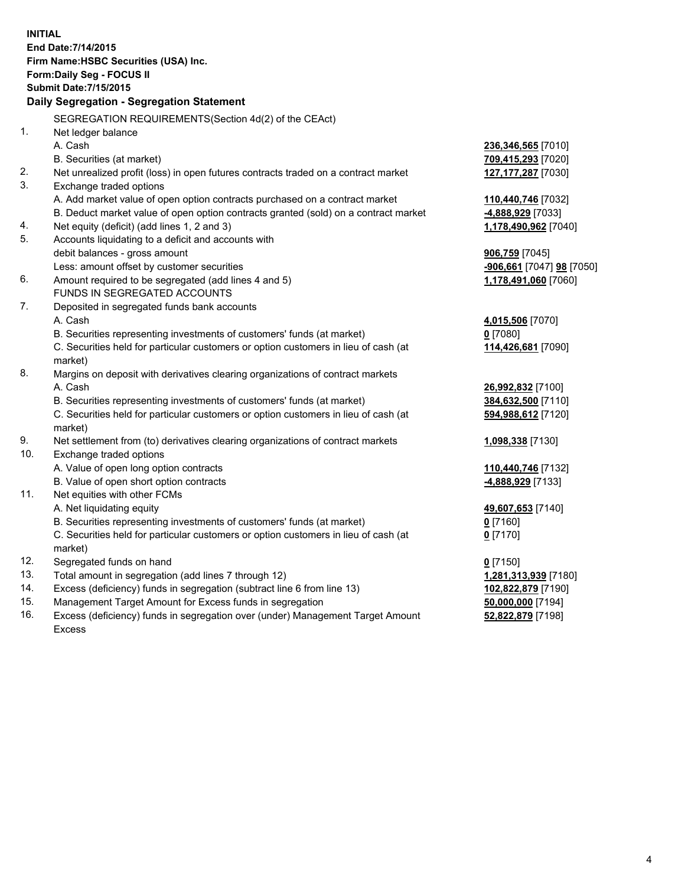**INITIAL End Date:7/14/2015 Firm Name:HSBC Securities (USA) Inc. Form:Daily Seg - FOCUS II Submit Date:7/15/2015 Daily Segregation - Segregation Statement** SEGREGATION REQUIREMENTS(Section 4d(2) of the CEAct) 1. Net ledger balance A. Cash **236,346,565** [7010] B. Securities (at market) **709,415,293** [7020] 2. Net unrealized profit (loss) in open futures contracts traded on a contract market **127,177,287** [7030] 3. Exchange traded options A. Add market value of open option contracts purchased on a contract market **110,440,746** [7032] B. Deduct market value of open option contracts granted (sold) on a contract market **-4,888,929** [7033] 4. Net equity (deficit) (add lines 1, 2 and 3) **1,178,490,962** [7040] 5. Accounts liquidating to a deficit and accounts with debit balances - gross amount **906,759** [7045] Less: amount offset by customer securities **-906,661** [7047] **98** [7050] 6. Amount required to be segregated (add lines 4 and 5) **1,178,491,060** [7060] FUNDS IN SEGREGATED ACCOUNTS 7. Deposited in segregated funds bank accounts A. Cash **4,015,506** [7070] B. Securities representing investments of customers' funds (at market) **0** [7080] C. Securities held for particular customers or option customers in lieu of cash (at market) **114,426,681** [7090] 8. Margins on deposit with derivatives clearing organizations of contract markets A. Cash **26,992,832** [7100] B. Securities representing investments of customers' funds (at market) **384,632,500** [7110] C. Securities held for particular customers or option customers in lieu of cash (at market) **594,988,612** [7120] 9. Net settlement from (to) derivatives clearing organizations of contract markets **1,098,338** [7130] 10. Exchange traded options A. Value of open long option contracts **110,440,746** [7132] B. Value of open short option contracts **-4,888,929** [7133] 11. Net equities with other FCMs A. Net liquidating equity **49,607,653** [7140] B. Securities representing investments of customers' funds (at market) **0** [7160] C. Securities held for particular customers or option customers in lieu of cash (at market) **0** [7170] 12. Segregated funds on hand **0** [7150] 13. Total amount in segregation (add lines 7 through 12) **1,281,313,939** [7180] 14. Excess (deficiency) funds in segregation (subtract line 6 from line 13) **102,822,879** [7190] 15. Management Target Amount for Excess funds in segregation **50,000,000** [7194]

16. Excess (deficiency) funds in segregation over (under) Management Target Amount Excess

**52,822,879** [7198]